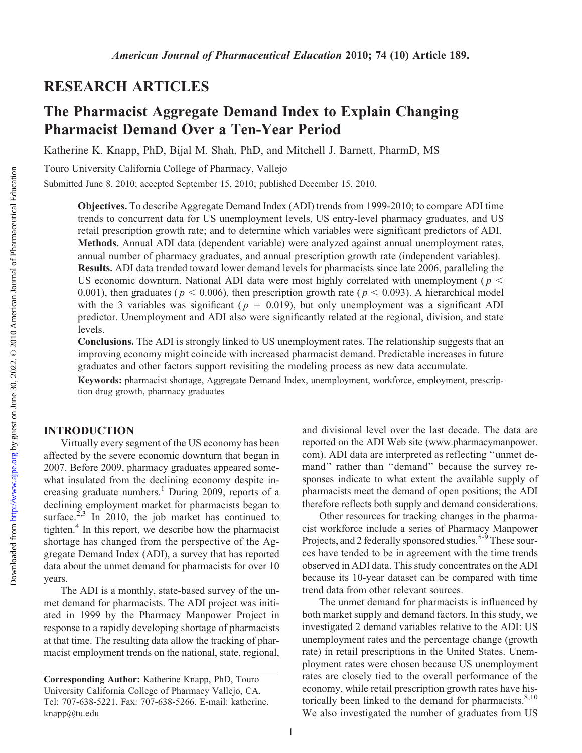# RESEARCH ARTICLES

# The Pharmacist Aggregate Demand Index to Explain Changing Pharmacist Demand Over a Ten-Year Period

Katherine K. Knapp, PhD, Bijal M. Shah, PhD, and Mitchell J. Barnett, PharmD, MS

Touro University California College of Pharmacy, Vallejo

Submitted June 8, 2010; accepted September 15, 2010; published December 15, 2010.

Objectives. To describe Aggregate Demand Index (ADI) trends from 1999-2010; to compare ADI time trends to concurrent data for US unemployment levels, US entry-level pharmacy graduates, and US retail prescription growth rate; and to determine which variables were significant predictors of ADI. Methods. Annual ADI data (dependent variable) were analyzed against annual unemployment rates, annual number of pharmacy graduates, and annual prescription growth rate (independent variables). Results. ADI data trended toward lower demand levels for pharmacists since late 2006, paralleling the US economic downturn. National ADI data were most highly correlated with unemployment ( $p <$ 0.001), then graduates ( $p < 0.006$ ), then prescription growth rate ( $p < 0.093$ ). A hierarchical model with the 3 variables was significant ( $p = 0.019$ ), but only unemployment was a significant ADI predictor. Unemployment and ADI also were significantly related at the regional, division, and state levels.

Conclusions. The ADI is strongly linked to US unemployment rates. The relationship suggests that an improving economy might coincide with increased pharmacist demand. Predictable increases in future graduates and other factors support revisiting the modeling process as new data accumulate.

Keywords: pharmacist shortage, Aggregate Demand Index, unemployment, workforce, employment, prescription drug growth, pharmacy graduates

## INTRODUCTION

Virtually every segment of the US economy has been affected by the severe economic downturn that began in 2007. Before 2009, pharmacy graduates appeared somewhat insulated from the declining economy despite increasing graduate numbers.<sup>1</sup> During 2009, reports of a declining employment market for pharmacists began to surface.<sup> $\frac{5}{3}$ </sup> In 2010, the job market has continued to tighten.<sup>4</sup> In this report, we describe how the pharmacist shortage has changed from the perspective of the Aggregate Demand Index (ADI), a survey that has reported data about the unmet demand for pharmacists for over 10 years.

The ADI is a monthly, state-based survey of the unmet demand for pharmacists. The ADI project was initiated in 1999 by the Pharmacy Manpower Project in response to a rapidly developing shortage of pharmacists at that time. The resulting data allow the tracking of pharmacist employment trends on the national, state, regional,

and divisional level over the last decade. The data are reported on the ADI Web site (www.pharmacymanpower. com). ADI data are interpreted as reflecting ''unmet demand'' rather than ''demand'' because the survey responses indicate to what extent the available supply of pharmacists meet the demand of open positions; the ADI therefore reflects both supply and demand considerations.

Other resources for tracking changes in the pharmacist workforce include a series of Pharmacy Manpower Projects, and 2 federally sponsored studies.<sup>5-9</sup> These sources have tended to be in agreement with the time trends observed in ADI data. This study concentrates on the ADI because its 10-year dataset can be compared with time trend data from other relevant sources.

The unmet demand for pharmacists is influenced by both market supply and demand factors. In this study, we investigated 2 demand variables relative to the ADI: US unemployment rates and the percentage change (growth rate) in retail prescriptions in the United States. Unemployment rates were chosen because US unemployment rates are closely tied to the overall performance of the economy, while retail prescription growth rates have historically been linked to the demand for pharmacists.<sup>8,10</sup> We also investigated the number of graduates from US

Corresponding Author: Katherine Knapp, PhD, Touro University California College of Pharmacy Vallejo, CA. Tel: 707-638-5221. Fax: 707-638-5266. E-mail: katherine. knapp@tu.edu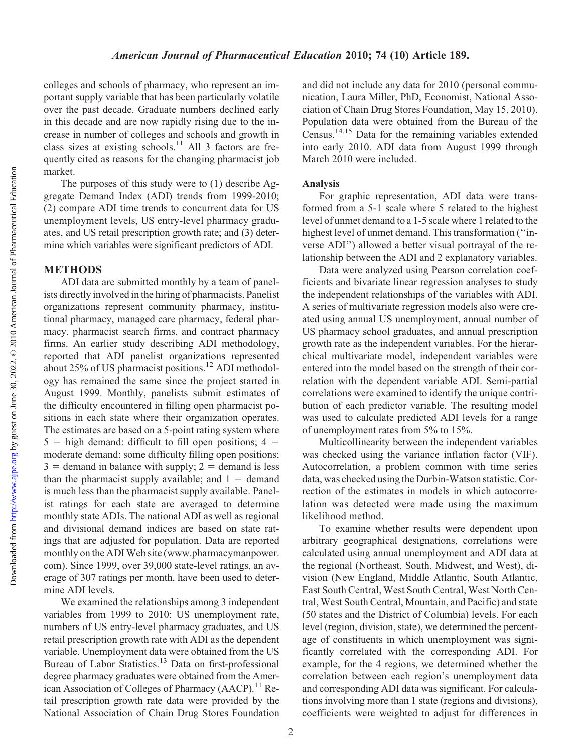colleges and schools of pharmacy, who represent an important supply variable that has been particularly volatile over the past decade. Graduate numbers declined early in this decade and are now rapidly rising due to the increase in number of colleges and schools and growth in class sizes at existing schools.<sup>11</sup> All 3 factors are frequently cited as reasons for the changing pharmacist job market.

The purposes of this study were to (1) describe Aggregate Demand Index (ADI) trends from 1999-2010; (2) compare ADI time trends to concurrent data for US unemployment levels, US entry-level pharmacy graduates, and US retail prescription growth rate; and (3) determine which variables were significant predictors of ADI.

### METHODS

ADI data are submitted monthly by a team of panelists directly involved in the hiring of pharmacists. Panelist organizations represent community pharmacy, institutional pharmacy, managed care pharmacy, federal pharmacy, pharmacist search firms, and contract pharmacy firms. An earlier study describing ADI methodology, reported that ADI panelist organizations represented about 25% of US pharmacist positions.12 ADI methodology has remained the same since the project started in August 1999. Monthly, panelists submit estimates of the difficulty encountered in filling open pharmacist positions in each state where their organization operates. The estimates are based on a 5-point rating system where  $5 =$  high demand: difficult to fill open positions;  $4 =$ moderate demand: some difficulty filling open positions;  $3 =$  demand in balance with supply;  $2 =$  demand is less than the pharmacist supply available; and  $1 =$  demand is much less than the pharmacist supply available. Panelist ratings for each state are averaged to determine monthly state ADIs. The national ADI as well as regional and divisional demand indices are based on state ratings that are adjusted for population. Data are reported monthly on the ADI Web site (www.pharmacymanpower. com). Since 1999, over 39,000 state-level ratings, an average of 307 ratings per month, have been used to determine ADI levels.

We examined the relationships among 3 independent variables from 1999 to 2010: US unemployment rate, numbers of US entry-level pharmacy graduates, and US retail prescription growth rate with ADI as the dependent variable. Unemployment data were obtained from the US Bureau of Labor Statistics.<sup>13</sup> Data on first-professional degree pharmacy graduates were obtained from the American Association of Colleges of Pharmacy  $(AACP)^{11}$  Retail prescription growth rate data were provided by the National Association of Chain Drug Stores Foundation and did not include any data for 2010 (personal communication, Laura Miller, PhD, Economist, National Association of Chain Drug Stores Foundation, May 15, 2010). Population data were obtained from the Bureau of the Census.14,15 Data for the remaining variables extended into early 2010. ADI data from August 1999 through March 2010 were included.

### Analysis

For graphic representation, ADI data were transformed from a 5-1 scale where 5 related to the highest level of unmet demand to a 1-5 scale where 1 related to the highest level of unmet demand. This transformation ("inverse ADI'') allowed a better visual portrayal of the relationship between the ADI and 2 explanatory variables.

Data were analyzed using Pearson correlation coefficients and bivariate linear regression analyses to study the independent relationships of the variables with ADI. A series of multivariate regression models also were created using annual US unemployment, annual number of US pharmacy school graduates, and annual prescription growth rate as the independent variables. For the hierarchical multivariate model, independent variables were entered into the model based on the strength of their correlation with the dependent variable ADI. Semi-partial correlations were examined to identify the unique contribution of each predictor variable. The resulting model was used to calculate predicted ADI levels for a range of unemployment rates from 5% to 15%.

Multicollinearity between the independent variables was checked using the variance inflation factor (VIF). Autocorrelation, a problem common with time series data, was checked using the Durbin-Watson statistic. Correction of the estimates in models in which autocorrelation was detected were made using the maximum likelihood method.

To examine whether results were dependent upon arbitrary geographical designations, correlations were calculated using annual unemployment and ADI data at the regional (Northeast, South, Midwest, and West), division (New England, Middle Atlantic, South Atlantic, East South Central, West South Central, West North Central, West South Central, Mountain, and Pacific) and state (50 states and the District of Columbia) levels. For each level (region, division, state), we determined the percentage of constituents in which unemployment was significantly correlated with the corresponding ADI. For example, for the 4 regions, we determined whether the correlation between each region's unemployment data and corresponding ADI data was significant. For calculations involving more than 1 state (regions and divisions), coefficients were weighted to adjust for differences in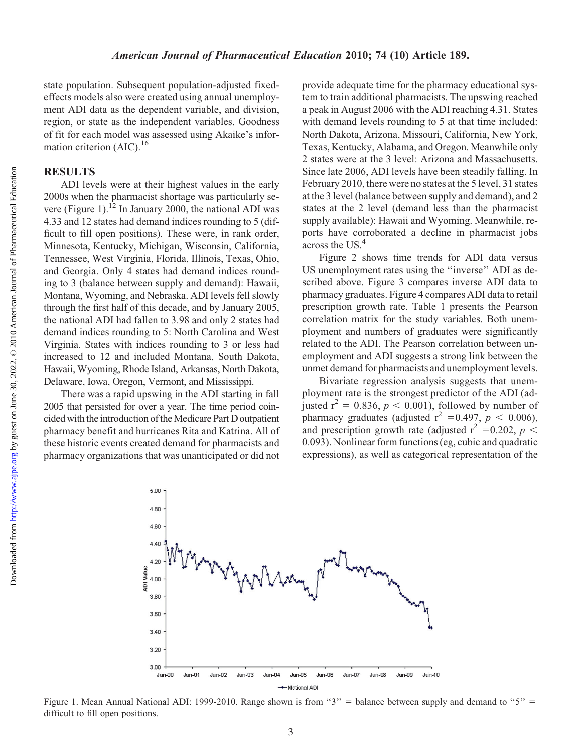Downloaded from

state population. Subsequent population-adjusted fixedeffects models also were created using annual unemployment ADI data as the dependent variable, and division, region, or state as the independent variables. Goodness of fit for each model was assessed using Akaike's information criterion  $(AIC).<sup>16</sup>$ 

# **RESULTS**

ADI levels were at their highest values in the early 2000s when the pharmacist shortage was particularly severe (Figure 1).<sup>12</sup> In January 2000, the national ADI was 4.33 and 12 states had demand indices rounding to 5 (difficult to fill open positions). These were, in rank order, Minnesota, Kentucky, Michigan, Wisconsin, California, Tennessee, West Virginia, Florida, Illinois, Texas, Ohio, and Georgia. Only 4 states had demand indices rounding to 3 (balance between supply and demand): Hawaii, Montana, Wyoming, and Nebraska. ADI levels fell slowly through the first half of this decade, and by January 2005, the national ADI had fallen to 3.98 and only 2 states had demand indices rounding to 5: North Carolina and West Virginia. States with indices rounding to 3 or less had increased to 12 and included Montana, South Dakota, Hawaii, Wyoming, Rhode Island, Arkansas, North Dakota, Delaware, Iowa, Oregon, Vermont, and Mississippi.

There was a rapid upswing in the ADI starting in fall 2005 that persisted for over a year. The time period coincided with the introduction of the Medicare Part D outpatient pharmacy benefit and hurricanes Rita and Katrina. All of these historic events created demand for pharmacists and pharmacy organizations that was unanticipated or did not

provide adequate time for the pharmacy educational system to train additional pharmacists. The upswing reached a peak in August 2006 with the ADI reaching 4.31. States with demand levels rounding to 5 at that time included: North Dakota, Arizona, Missouri, California, New York, Texas, Kentucky, Alabama, and Oregon. Meanwhile only 2 states were at the 3 level: Arizona and Massachusetts. Since late 2006, ADI levels have been steadily falling. In February 2010, there were no states at the 5 level, 31 states at the 3 level (balance between supply and demand), and 2 states at the 2 level (demand less than the pharmacist supply available): Hawaii and Wyoming. Meanwhile, reports have corroborated a decline in pharmacist jobs across the US.<sup>4</sup>

Figure 2 shows time trends for ADI data versus US unemployment rates using the ''inverse'' ADI as described above. Figure 3 compares inverse ADI data to pharmacy graduates. Figure 4 compares ADI data to retail prescription growth rate. Table 1 presents the Pearson correlation matrix for the study variables. Both unemployment and numbers of graduates were significantly related to the ADI. The Pearson correlation between unemployment and ADI suggests a strong link between the unmet demand for pharmacists and unemployment levels.

Bivariate regression analysis suggests that unemployment rate is the strongest predictor of the ADI (adjusted  $r^2 = 0.836$ ,  $p < 0.001$ ), followed by number of pharmacy graduates (adjusted  $r^2$  =0.497,  $p$  < 0.006), and prescription growth rate (adjusted  $r^2 = 0.202$ ,  $p <$ 0.093). Nonlinear form functions (eg, cubic and quadratic expressions), as well as categorical representation of the



Figure 1. Mean Annual National ADI: 1999-2010. Range shown is from " $3"$ " = balance between supply and demand to " $5"$ " = difficult to fill open positions.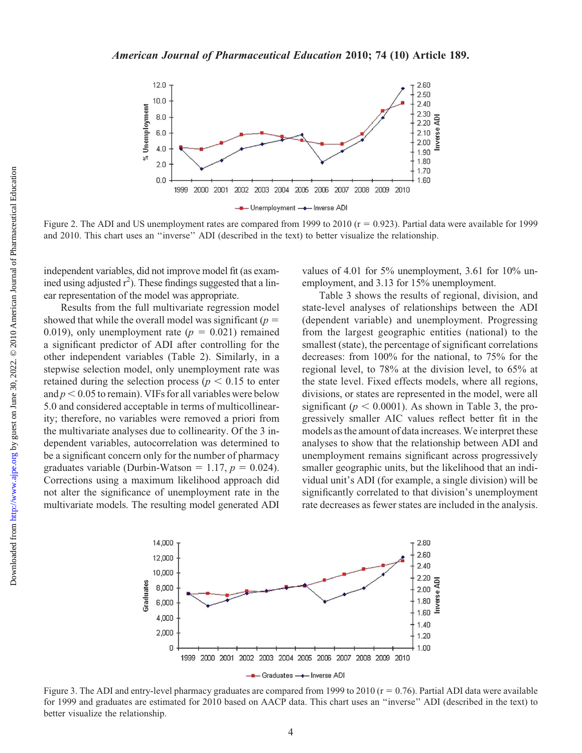<http://www.ajpe.org>

Downloaded from



Figure 2. The ADI and US unemployment rates are compared from 1999 to 2010 ( $r = 0.923$ ). Partial data were available for 1999 and 2010. This chart uses an ''inverse'' ADI (described in the text) to better visualize the relationship.

independent variables, did not improve model fit (as examined using adjusted  $r^2$ ). These findings suggested that a linear representation of the model was appropriate.

Results from the full multivariate regression model showed that while the overall model was significant ( $p =$ 0.019), only unemployment rate ( $p = 0.021$ ) remained a significant predictor of ADI after controlling for the other independent variables (Table 2). Similarly, in a stepwise selection model, only unemployment rate was retained during the selection process ( $p < 0.15$  to enter and  $p < 0.05$  to remain). VIFs for all variables were below 5.0 and considered acceptable in terms of multicollinearity; therefore, no variables were removed a priori from the multivariate analyses due to collinearity. Of the 3 independent variables, autocorrelation was determined to be a significant concern only for the number of pharmacy graduates variable (Durbin-Watson = 1.17,  $p = 0.024$ ). Corrections using a maximum likelihood approach did not alter the significance of unemployment rate in the multivariate models. The resulting model generated ADI

values of 4.01 for 5% unemployment, 3.61 for 10% unemployment, and 3.13 for 15% unemployment.

Table 3 shows the results of regional, division, and state-level analyses of relationships between the ADI (dependent variable) and unemployment. Progressing from the largest geographic entities (national) to the smallest (state), the percentage of significant correlations decreases: from 100% for the national, to 75% for the regional level, to 78% at the division level, to 65% at the state level. Fixed effects models, where all regions, divisions, or states are represented in the model, were all significant ( $p < 0.0001$ ). As shown in Table 3, the progressively smaller AIC values reflect better fit in the models as the amount of data increases. We interpret these analyses to show that the relationship between ADI and unemployment remains significant across progressively smaller geographic units, but the likelihood that an individual unit's ADI (for example, a single division) will be significantly correlated to that division's unemployment rate decreases as fewer states are included in the analysis.



Figure 3. The ADI and entry-level pharmacy graduates are compared from 1999 to 2010 ( $r = 0.76$ ). Partial ADI data were available for 1999 and graduates are estimated for 2010 based on AACP data. This chart uses an ''inverse'' ADI (described in the text) to better visualize the relationship.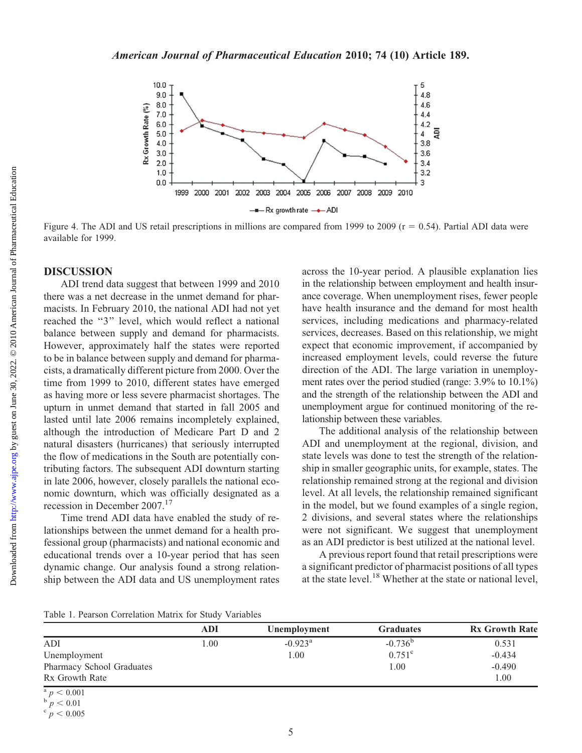Downloaded from



Figure 4. The ADI and US retail prescriptions in millions are compared from 1999 to 2009 ( $r = 0.54$ ). Partial ADI data were available for 1999.

# DISCUSSION

ADI trend data suggest that between 1999 and 2010 there was a net decrease in the unmet demand for pharmacists. In February 2010, the national ADI had not yet reached the ''3'' level, which would reflect a national balance between supply and demand for pharmacists. However, approximately half the states were reported to be in balance between supply and demand for pharmacists, a dramatically different picture from 2000. Over the time from 1999 to 2010, different states have emerged as having more or less severe pharmacist shortages. The upturn in unmet demand that started in fall 2005 and lasted until late 2006 remains incompletely explained, although the introduction of Medicare Part D and 2 natural disasters (hurricanes) that seriously interrupted the flow of medications in the South are potentially contributing factors. The subsequent ADI downturn starting in late 2006, however, closely parallels the national economic downturn, which was officially designated as a recession in December 2007.<sup>17</sup>

Time trend ADI data have enabled the study of relationships between the unmet demand for a health professional group (pharmacists) and national economic and educational trends over a 10-year period that has seen dynamic change. Our analysis found a strong relationship between the ADI data and US unemployment rates

across the 10-year period. A plausible explanation lies in the relationship between employment and health insurance coverage. When unemployment rises, fewer people have health insurance and the demand for most health services, including medications and pharmacy-related services, decreases. Based on this relationship, we might expect that economic improvement, if accompanied by increased employment levels, could reverse the future direction of the ADI. The large variation in unemployment rates over the period studied (range: 3.9% to 10.1%) and the strength of the relationship between the ADI and unemployment argue for continued monitoring of the relationship between these variables.

The additional analysis of the relationship between ADI and unemployment at the regional, division, and state levels was done to test the strength of the relationship in smaller geographic units, for example, states. The relationship remained strong at the regional and division level. At all levels, the relationship remained significant in the model, but we found examples of a single region, 2 divisions, and several states where the relationships were not significant. We suggest that unemployment as an ADI predictor is best utilized at the national level.

A previous report found that retail prescriptions were a significant predictor of pharmacist positions of all types at the state level.<sup>18</sup> Whether at the state or national level,

Table 1. Pearson Correlation Matrix for Study Variables

|                           | ADI  | Unemployment          | <b>Graduates</b> | <b>Rx Growth Rate</b> |
|---------------------------|------|-----------------------|------------------|-----------------------|
| ADI                       | 1.00 | $-0.923$ <sup>a</sup> | $-0.736^{b}$     | 0.531                 |
| Unemployment              |      | 1.00                  | $0.751^{\circ}$  | $-0.434$              |
| Pharmacy School Graduates |      |                       | 1.00             | $-0.490$              |
| Rx Growth Rate            |      |                       |                  | 1.00                  |
| $a_p < 0.001$             |      |                       |                  |                       |

 $\frac{b}{c} p < 0.01$ <br> $\frac{c}{p} < 0.005$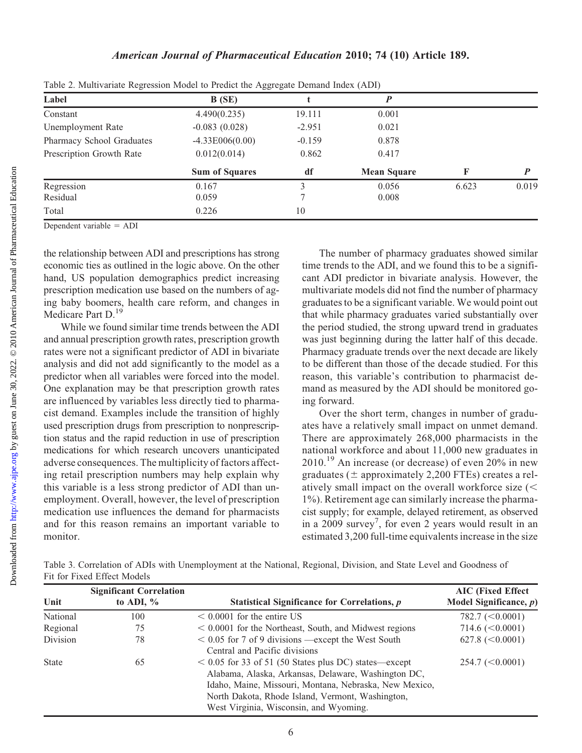| Table 2. Multivariate Regression Moder to Freuter the Aggregate Demand much (ADT) |                       |          |                    |       |       |  |
|-----------------------------------------------------------------------------------|-----------------------|----------|--------------------|-------|-------|--|
| Label                                                                             | B(SE)                 |          |                    |       |       |  |
| Constant                                                                          | 4.490(0.235)          | 19.111   | 0.001              |       |       |  |
| Unemployment Rate                                                                 | $-0.083(0.028)$       | $-2.951$ | 0.021              |       |       |  |
| Pharmacy School Graduates                                                         | $-4.33E006(0.00)$     | $-0.159$ | 0.878              |       |       |  |
| Prescription Growth Rate                                                          | 0.012(0.014)          | 0.862    | 0.417              |       |       |  |
|                                                                                   | <b>Sum of Squares</b> | df       | <b>Mean Square</b> | F     |       |  |
| Regression                                                                        | 0.167                 |          | 0.056              | 6.623 | 0.019 |  |
| Residual                                                                          | 0.059                 |          | 0.008              |       |       |  |
| Total                                                                             | 0.226                 | 10       |                    |       |       |  |

Table 2. Multivariate Regression Model to Predict the Aggregate Demand Index (ADI)

Dependent variable  $=$  ADI

the relationship between ADI and prescriptions has strong economic ties as outlined in the logic above. On the other hand, US population demographics predict increasing prescription medication use based on the numbers of aging baby boomers, health care reform, and changes in Medicare Part D.<sup>19</sup>

While we found similar time trends between the ADI and annual prescription growth rates, prescription growth rates were not a significant predictor of ADI in bivariate analysis and did not add significantly to the model as a predictor when all variables were forced into the model. One explanation may be that prescription growth rates are influenced by variables less directly tied to pharmacist demand. Examples include the transition of highly used prescription drugs from prescription to nonprescription status and the rapid reduction in use of prescription medications for which research uncovers unanticipated adverse consequences. The multiplicity of factors affecting retail prescription numbers may help explain why this variable is a less strong predictor of ADI than unemployment. Overall, however, the level of prescription medication use influences the demand for pharmacists and for this reason remains an important variable to monitor.

The number of pharmacy graduates showed similar time trends to the ADI, and we found this to be a significant ADI predictor in bivariate analysis. However, the multivariate models did not find the number of pharmacy graduates to be a significant variable. We would point out that while pharmacy graduates varied substantially over the period studied, the strong upward trend in graduates was just beginning during the latter half of this decade. Pharmacy graduate trends over the next decade are likely to be different than those of the decade studied. For this reason, this variable's contribution to pharmacist demand as measured by the ADI should be monitored going forward.

Over the short term, changes in number of graduates have a relatively small impact on unmet demand. There are approximately 268,000 pharmacists in the national workforce and about 11,000 new graduates in 2010.<sup>19</sup> An increase (or decrease) of even 20% in new graduates ( $\pm$  approximately 2,200 FTEs) creates a relatively small impact on the overall workforce size  $\ll$ 1%). Retirement age can similarly increase the pharmacist supply; for example, delayed retirement, as observed in a  $2009$  survey<sup>7</sup>, for even 2 years would result in an estimated 3,200 full-time equivalents increase in the size

Table 3. Correlation of ADIs with Unemployment at the National, Regional, Division, and State Level and Goodness of Fit for Fixed Effect Models

| <b>Significant Correlation</b> |              |                                                             | <b>AIC</b> (Fixed Effect)          |  |
|--------------------------------|--------------|-------------------------------------------------------------|------------------------------------|--|
| Unit                           | to ADI, $\%$ | Statistical Significance for Correlations, p                | Model Significance, $p$ )          |  |
| National                       | 100          | $\leq 0.0001$ for the entire US                             | $782.7 \left( \leq 0.0001 \right)$ |  |
| Regional                       | 75           | $\leq 0.0001$ for the Northeast, South, and Midwest regions | $714.6 \approx (0.0001)$           |  |
| Division                       | 78           | $\leq 0.05$ for 7 of 9 divisions —except the West South     | 627.8 (< 0.0001)                   |  |
|                                |              | Central and Pacific divisions                               |                                    |  |
| <b>State</b>                   | 65           | $\leq$ 0.05 for 33 of 51 (50 States plus DC) states—except  | $254.7 \left( \leq 0.0001 \right)$ |  |
|                                |              | Alabama, Alaska, Arkansas, Delaware, Washington DC,         |                                    |  |
|                                |              | Idaho, Maine, Missouri, Montana, Nebraska, New Mexico,      |                                    |  |
|                                |              | North Dakota, Rhode Island, Vermont, Washington,            |                                    |  |
|                                |              | West Virginia, Wisconsin, and Wyoming.                      |                                    |  |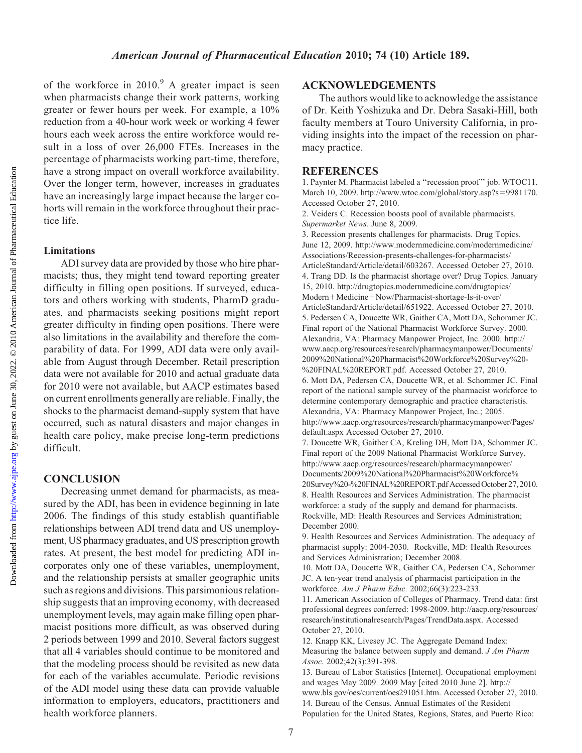of the workforce in  $2010$ .<sup>9</sup> A greater impact is seen when pharmacists change their work patterns, working greater or fewer hours per week. For example, a 10% reduction from a 40-hour work week or working 4 fewer hours each week across the entire workforce would result in a loss of over 26,000 FTEs. Increases in the percentage of pharmacists working part-time, therefore, have a strong impact on overall workforce availability. Over the longer term, however, increases in graduates have an increasingly large impact because the larger cohorts will remain in the workforce throughout their practice life.

#### Limitations

ADI survey data are provided by those who hire pharmacists; thus, they might tend toward reporting greater difficulty in filling open positions. If surveyed, educators and others working with students, PharmD graduates, and pharmacists seeking positions might report greater difficulty in finding open positions. There were also limitations in the availability and therefore the comparability of data. For 1999, ADI data were only available from August through December. Retail prescription data were not available for 2010 and actual graduate data for 2010 were not available, but AACP estimates based on current enrollments generally are reliable. Finally, the shocks to the pharmacist demand-supply system that have occurred, such as natural disasters and major changes in health care policy, make precise long-term predictions difficult.

### **CONCLUSION**

Decreasing unmet demand for pharmacists, as measured by the ADI, has been in evidence beginning in late 2006. The findings of this study establish quantifiable relationships between ADI trend data and US unemployment, US pharmacy graduates, and US prescription growth rates. At present, the best model for predicting ADI incorporates only one of these variables, unemployment, and the relationship persists at smaller geographic units such as regions and divisions. This parsimonious relationship suggests that an improving economy, with decreased unemployment levels, may again make filling open pharmacist positions more difficult, as was observed during 2 periods between 1999 and 2010. Several factors suggest that all 4 variables should continue to be monitored and that the modeling process should be revisited as new data for each of the variables accumulate. Periodic revisions of the ADI model using these data can provide valuable information to employers, educators, practitioners and health workforce planners.

## ACKNOWLEDGEMENTS

The authors would like to acknowledge the assistance of Dr. Keith Yoshizuka and Dr. Debra Sasaki-Hill, both faculty members at Touro University California, in providing insights into the impact of the recession on pharmacy practice.

#### **REFERENCES**

1. Paynter M. Pharmacist labeled a ''recession proof '' job. WTOC11. March 10, 2009. http://www.wtoc.com/global/story.asp?s=9981170. Accessed October 27, 2010.

2. Veiders C. Recession boosts pool of available pharmacists. Supermarket News. June 8, 2009.

3. Recession presents challenges for pharmacists. Drug Topics. June 12, 2009. http://www.modernmedicine.com/modernmedicine/ Associations/Recession-presents-challenges-for-pharmacists/ ArticleStandard/Article/detail/603267. Accessed October 27, 2010. 4. Trang DD. Is the pharmacist shortage over? Drug Topics. January 15, 2010. http://drugtopics.modernmedicine.com/drugtopics/ Modern+Medicine+Now/Pharmacist-shortage-Is-it-over/ ArticleStandard/Article/detail/651922. Accessed October 27, 2010. 5. Pedersen CA, Doucette WR, Gaither CA, Mott DA, Schommer JC. Final report of the National Pharmacist Workforce Survey. 2000. Alexandria, VA: Pharmacy Manpower Project, Inc. 2000. http:// www.aacp.org/resources/research/pharmacymanpower/Documents/ 2009%20National%20Pharmacist%20Workforce%20Survey%20- %20FINAL%20REPORT.pdf. Accessed October 27, 2010. 6. Mott DA, Pedersen CA, Doucette WR, et al. Schommer JC. Final report of the national sample survey of the pharmacist workforce to determine contemporary demographic and practice characteristis. Alexandria, VA: Pharmacy Manpower Project, Inc.; 2005. http://www.aacp.org/resources/research/pharmacymanpower/Pages/ default.aspx Accessed October 27, 2010.

7. Doucette WR, Gaither CA, Kreling DH, Mott DA, Schommer JC. Final report of the 2009 National Pharmacist Workforce Survey. http://www.aacp.org/resources/research/pharmacymanpower/ Documents/2009%20National%20Pharmacist%20Workforce% 20Survey%20-%20FINAL%20REPORT.pdf Accessed October 27, 2010. 8. Health Resources and Services Administration. The pharmacist workforce: a study of the supply and demand for pharmacists. Rockville, MD: Health Resources and Services Administration; December 2000.

9. Health Resources and Services Administration. The adequacy of pharmacist supply: 2004-2030. Rockville, MD: Health Resources and Services Administration; December 2008.

10. Mott DA, Doucette WR, Gaither CA, Pedersen CA, Schommer JC. A ten-year trend analysis of pharmacist participation in the workforce. Am J Pharm Educ. 2002;66(3):223-233.

11. American Association of Colleges of Pharmacy. Trend data: first professional degrees conferred: 1998-2009. http://aacp.org/resources/ research/institutionalresearch/Pages/TrendData.aspx. Accessed October 27, 2010.

12. Knapp KK, Livesey JC. The Aggregate Demand Index: Measuring the balance between supply and demand. J Am Pharm Assoc. 2002;42(3):391-398.

13. Bureau of Labor Statistics [Internet]. Occupational employment and wages May 2009. 2009 May [cited 2010 June 2]. http:// www.bls.gov/oes/current/oes291051.htm. Accessed October 27, 2010. 14. Bureau of the Census. Annual Estimates of the Resident Population for the United States, Regions, States, and Puerto Rico: